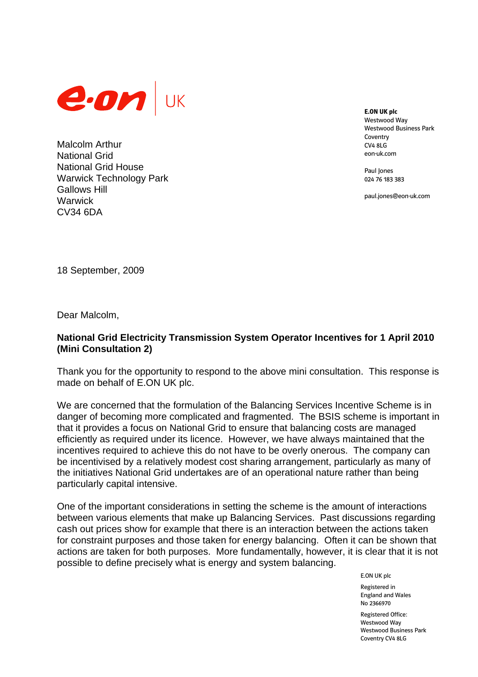

Malcolm Arthur National Grid National Grid House Warwick Technology Park Gallows Hill **Warwick** CV34 6DA

**E.ON UK plc**  Westwood Way Westwood Business Park Coventry CV4 8LG eon-uk.com

Paul Iones 024 76 183 383

paul.jones@eon-uk.com

18 September, 2009

Dear Malcolm,

## **National Grid Electricity Transmission System Operator Incentives for 1 April 2010 (Mini Consultation 2)**

Thank you for the opportunity to respond to the above mini consultation. This response is made on behalf of E.ON UK plc.

We are concerned that the formulation of the Balancing Services Incentive Scheme is in danger of becoming more complicated and fragmented. The BSIS scheme is important in that it provides a focus on National Grid to ensure that balancing costs are managed efficiently as required under its licence. However, we have always maintained that the incentives required to achieve this do not have to be overly onerous. The company can be incentivised by a relatively modest cost sharing arrangement, particularly as many of the initiatives National Grid undertakes are of an operational nature rather than being particularly capital intensive.

One of the important considerations in setting the scheme is the amount of interactions between various elements that make up Balancing Services. Past discussions regarding cash out prices show for example that there is an interaction between the actions taken for constraint purposes and those taken for energy balancing. Often it can be shown that actions are taken for both purposes. More fundamentally, however, it is clear that it is not possible to define precisely what is energy and system balancing.

E.ON UK plc

Registered in England and Wales No 2366970

Registered Office: Westwood Way Westwood Business Park Coventry CV4 8LG